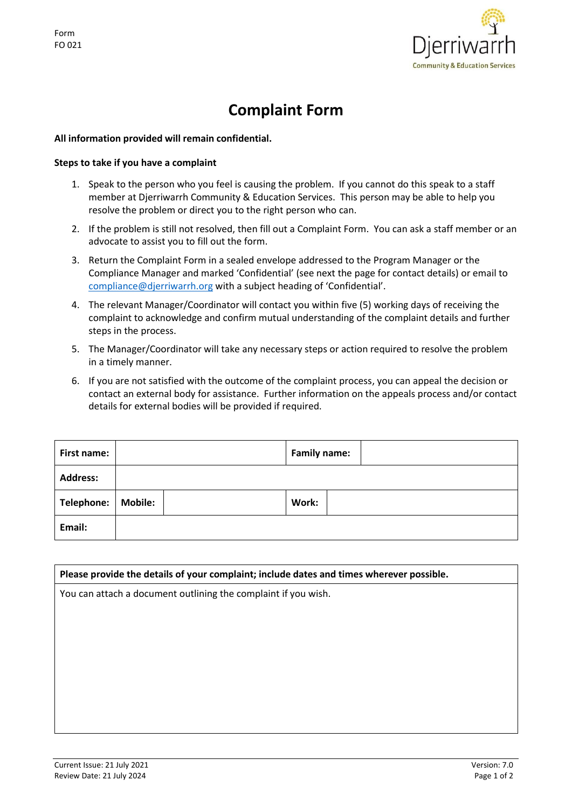

## **Complaint Form**

## **All information provided will remain confidential.**

## **Steps to take if you have a complaint**

- 1. Speak to the person who you feel is causing the problem. If you cannot do this speak to a staff member at Djerriwarrh Community & Education Services. This person may be able to help you resolve the problem or direct you to the right person who can.
- 2. If the problem is still not resolved, then fill out a Complaint Form. You can ask a staff member or an advocate to assist you to fill out the form.
- 3. Return the Complaint Form in a sealed envelope addressed to the Program Manager or the Compliance Manager and marked 'Confidential' (see next the page for contact details) or email to [compliance@djerriwarrh.org](mailto:compliance@djerriwarrh.org) with a subject heading of 'Confidential'.
- 4. The relevant Manager/Coordinator will contact you within five (5) working days of receiving the complaint to acknowledge and confirm mutual understanding of the complaint details and further steps in the process.
- 5. The Manager/Coordinator will take any necessary steps or action required to resolve the problem in a timely manner.
- 6. If you are not satisfied with the outcome of the complaint process, you can appeal the decision or contact an external body for assistance. Further information on the appeals process and/or contact details for external bodies will be provided if required.

| First name:       |                | <b>Family name:</b> |
|-------------------|----------------|---------------------|
| <b>Address:</b>   |                |                     |
| <b>Telephone:</b> | <b>Mobile:</b> | Work:               |
| Email:            |                |                     |

| Please provide the details of your complaint; include dates and times wherever possible.<br>You can attach a document outlining the complaint if you wish. |  |  |  |  |
|------------------------------------------------------------------------------------------------------------------------------------------------------------|--|--|--|--|
|                                                                                                                                                            |  |  |  |  |
|                                                                                                                                                            |  |  |  |  |
|                                                                                                                                                            |  |  |  |  |
|                                                                                                                                                            |  |  |  |  |
|                                                                                                                                                            |  |  |  |  |
|                                                                                                                                                            |  |  |  |  |
|                                                                                                                                                            |  |  |  |  |
|                                                                                                                                                            |  |  |  |  |